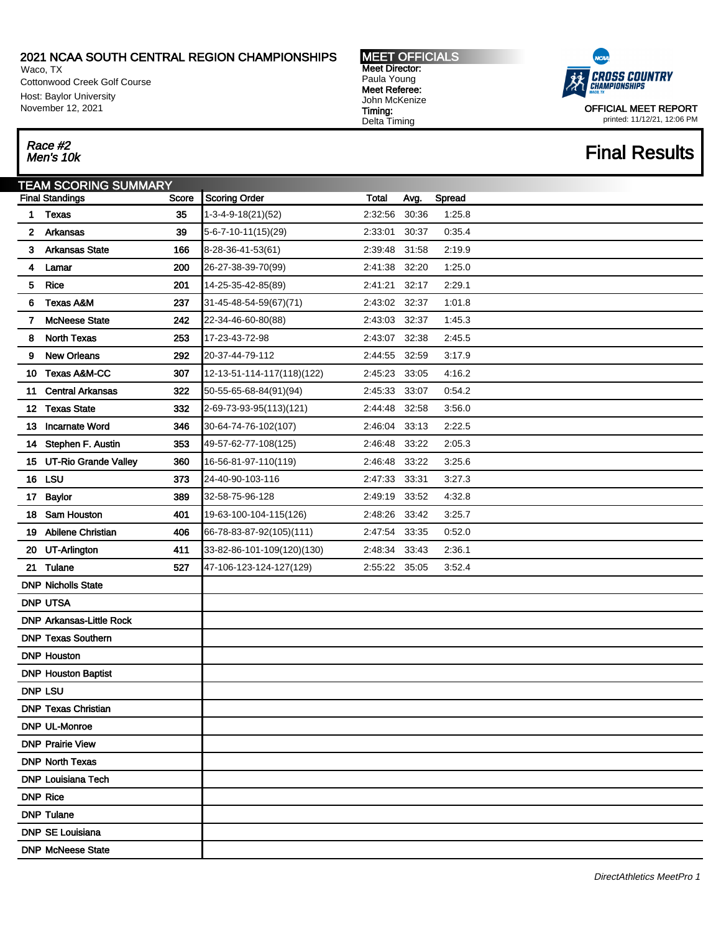Waco, TX Cottonwood Creek Golf Course Host: Baylor University November 12, 2021

MEET OFFICIALS Meet Director: Paula Young Meet Referee: John McKenize Timing: Delta Timing



OFFICIAL MEET REPORT printed: 11/12/21, 12:06 PM

### **Final Results**

# Race #2<br>Men's 10k

|    | TEAM SCORING SUMMARY            |       |                            |               |       |        |
|----|---------------------------------|-------|----------------------------|---------------|-------|--------|
|    | <b>Final Standings</b>          | Score | <b>Scoring Order</b>       | Total         | Avg.  | Spread |
| 1  | <b>Texas</b>                    | 35    | 1-3-4-9-18(21)(52)         | 2:32:56       | 30:36 | 1:25.8 |
| 2  | Arkansas                        | 39    | $5-6-7-10-11(15)(29)$      | 2:33:01       | 30:37 | 0.35.4 |
| 3  | <b>Arkansas State</b>           | 166   | 8-28-36-41-53(61)          | 2:39:48       | 31:58 | 2:19.9 |
| 4  | Lamar                           | 200   | 26-27-38-39-70(99)         | 2:41:38       | 32:20 | 1:25.0 |
| 5  | Rice                            | 201   | 14-25-35-42-85(89)         | 2:41:21       | 32:17 | 2:29.1 |
| 6  | <b>Texas A&amp;M</b>            | 237   | 31-45-48-54-59(67)(71)     | 2:43:02 32:37 |       | 1:01.8 |
| 7  | <b>McNeese State</b>            | 242   | 22-34-46-60-80(88)         | 2:43:03       | 32:37 | 1:45.3 |
| 8  | <b>North Texas</b>              | 253   | 17-23-43-72-98             | 2:43:07 32:38 |       | 2:45.5 |
| 9  | <b>New Orleans</b>              | 292   | 20-37-44-79-112            | 2:44:55       | 32:59 | 3:17.9 |
| 10 | <b>Texas A&amp;M-CC</b>         | 307   | 12-13-51-114-117(118)(122) | 2:45:23       | 33:05 | 4:16.2 |
| 11 | <b>Central Arkansas</b>         | 322   | 50-55-65-68-84(91)(94)     | 2:45:33       | 33:07 | 0:54.2 |
| 12 | <b>Texas State</b>              | 332   | 2-69-73-93-95(113)(121)    | 2:44:48 32:58 |       | 3:56.0 |
| 13 | <b>Incarnate Word</b>           | 346   | 30-64-74-76-102(107)       | 2:46:04       | 33:13 | 2:22.5 |
| 14 | Stephen F. Austin               | 353   | 49-57-62-77-108(125)       | 2:46:48       | 33:22 | 2:05.3 |
| 15 | <b>UT-Rio Grande Valley</b>     | 360   | 16-56-81-97-110(119)       | 2:46:48       | 33:22 | 3:25.6 |
|    | 16 LSU                          | 373   | 24-40-90-103-116           | 2:47:33 33:31 |       | 3:27.3 |
| 17 | <b>Baylor</b>                   | 389   | 32-58-75-96-128            | 2:49:19       | 33:52 | 4:32.8 |
| 18 | Sam Houston                     | 401   | 19-63-100-104-115(126)     | 2:48:26       | 33:42 | 3:25.7 |
| 19 | <b>Abilene Christian</b>        | 406   | 66-78-83-87-92(105)(111)   | 2:47:54       | 33:35 | 0.52.0 |
| 20 | UT-Arlington                    | 411   | 33-82-86-101-109(120)(130) | 2:48:34       | 33:43 | 2:36.1 |
| 21 | Tulane                          | 527   | 47-106-123-124-127(129)    | 2:55:22       | 35:05 | 3:52.4 |
|    | <b>DNP Nicholls State</b>       |       |                            |               |       |        |
|    | <b>DNP UTSA</b>                 |       |                            |               |       |        |
|    | <b>DNP Arkansas-Little Rock</b> |       |                            |               |       |        |
|    | <b>DNP Texas Southern</b>       |       |                            |               |       |        |
|    | <b>DNP Houston</b>              |       |                            |               |       |        |
|    | <b>DNP Houston Baptist</b>      |       |                            |               |       |        |
|    | <b>DNP LSU</b>                  |       |                            |               |       |        |
|    | <b>DNP Texas Christian</b>      |       |                            |               |       |        |
|    | <b>DNP UL-Monroe</b>            |       |                            |               |       |        |
|    | <b>DNP Prairie View</b>         |       |                            |               |       |        |
|    | <b>DNP North Texas</b>          |       |                            |               |       |        |
|    | <b>DNP Louisiana Tech</b>       |       |                            |               |       |        |
|    | <b>DNP Rice</b>                 |       |                            |               |       |        |
|    | <b>DNP Tulane</b>               |       |                            |               |       |        |
|    | <b>DNP SE Louisiana</b>         |       |                            |               |       |        |
|    | <b>DNP McNeese State</b>        |       |                            |               |       |        |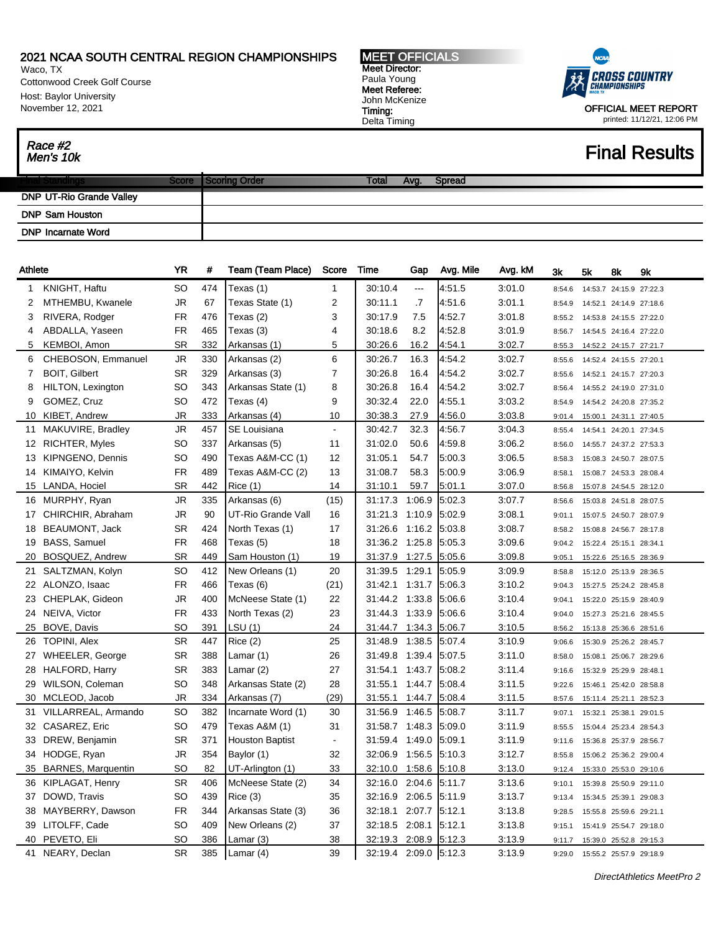Waco, TX Cottonwood Creek Golf Course Host: Baylor University November 12, 2021

Race #2<br>Men's 10k

MEET OFFICIALS Meet Director: Paula Young Meet Referee: John McKenize Timing: Delta Timing



OFFICIAL MEET REPORT printed: 11/12/21, 12:06 PM

## **Final Results**

|                                 | icore | Order | <b>AMC</b> | <b>Spread</b> |
|---------------------------------|-------|-------|------------|---------------|
| <b>DNP UT-Rio Grande Valley</b> |       |       |            |               |
| <b>DNP Sam Houston</b>          |       |       |            |               |
| <b>DNP Incarnate Word</b>       |       |       |            |               |

| Athlete        |                       | <b>YR</b> | #   | Team (Team Place)      | Score          | Time                  | Gap    | Avg. Mile | Avg. kM | 3k     | 5k | 8k                      | 9k |
|----------------|-----------------------|-----------|-----|------------------------|----------------|-----------------------|--------|-----------|---------|--------|----|-------------------------|----|
| $\mathbf{1}$   | KNIGHT, Haftu         | SO        | 474 | Texas (1)              | $\mathbf{1}$   | 30:10.4               | ---    | 4:51.5    | 3:01.0  | 8:54.6 |    | 14:53.7 24:15.9 27:22.3 |    |
| 2              | MTHEMBU, Kwanele      | JR.       | 67  | Texas State (1)        | $\overline{2}$ | 30:11.1               | .7     | 4:51.6    | 3:01.1  | 8:54.9 |    | 14:52.1 24:14.9 27:18.6 |    |
| 3              | RIVERA, Rodger        | <b>FR</b> | 476 | Texas (2)              | 3              | 30:17.9               | 7.5    | 4:52.7    | 3:01.8  | 8:55.2 |    | 14:53.8 24:15.5 27:22.0 |    |
| 4              | ABDALLA, Yaseen       | FR        | 465 | Texas (3)              | 4              | 30:18.6               | 8.2    | 4:52.8    | 3:01.9  | 8:56.7 |    | 14:54.5 24:16.4 27:22.0 |    |
| 5              | KEMBOI, Amon          | <b>SR</b> | 332 | Arkansas (1)           | 5              | 30:26.6               | 16.2   | 4:54.1    | 3:02.7  | 8:55.3 |    | 14:52.2 24:15.7 27:21.7 |    |
| 6              | CHEBOSON, Emmanuel    | <b>JR</b> | 330 | Arkansas (2)           | 6              | 30:26.7               | 16.3   | 4:54.2    | 3:02.7  | 8:55.6 |    | 14:52.4 24:15.5 27:20.1 |    |
| $\overline{7}$ | <b>BOIT, Gilbert</b>  | <b>SR</b> | 329 | Arkansas (3)           | 7              | 30:26.8               | 16.4   | 4:54.2    | 3:02.7  | 8:55.6 |    | 14:52.1 24:15.7 27:20.3 |    |
| 8              | HILTON, Lexington     | SO        | 343 | Arkansas State (1)     | 8              | 30:26.8               | 16.4   | 4:54.2    | 3:02.7  | 8:56.4 |    | 14:55.2 24:19.0 27:31.0 |    |
| 9              | GOMEZ, Cruz           | SO        | 472 | Texas (4)              | 9              | 30:32.4               | 22.0   | 4:55.1    | 3:03.2  | 8:54.9 |    | 14:54.2 24:20.8 27:35.2 |    |
| 10             | KIBET, Andrew         | <b>JR</b> | 333 | Arkansas (4)           | 10             | 30:38.3               | 27.9   | 4:56.0    | 3:03.8  | 9:01.4 |    | 15:00.1 24:31.1 27:40.5 |    |
| 11             | MAKUVIRE, Bradley     | <b>JR</b> | 457 | <b>SE Louisiana</b>    | $\blacksquare$ | 30:42.7               | 32.3   | 4:56.7    | 3:04.3  | 8:55.4 |    | 14:54.1 24:20.1 27:34.5 |    |
| 12             | <b>RICHTER, Myles</b> | SO        | 337 | Arkansas (5)           | 11             | 31:02.0               | 50.6   | 4:59.8    | 3:06.2  | 8:56.0 |    | 14:55.7 24:37.2 27:53.3 |    |
| 13             | KIPNGENO, Dennis      | SO        | 490 | Texas A&M-CC (1)       | 12             | 31:05.1               | 54.7   | 5:00.3    | 3:06.5  | 8:58.3 |    | 15:08.3 24:50.7 28:07.5 |    |
| 14             | KIMAIYO, Kelvin       | <b>FR</b> | 489 | Texas A&M-CC (2)       | 13             | 31:08.7               | 58.3   | 5:00.9    | 3:06.9  | 8:58.1 |    | 15:08.7 24:53.3 28:08.4 |    |
| 15             | LANDA, Hociel         | <b>SR</b> | 442 | Rice(1)                | 14             | 31:10.1               | 59.7   | 5.01.1    | 3:07.0  | 8:56.8 |    | 15:07.8 24:54.5 28:12.0 |    |
| 16             | MURPHY, Ryan          | <b>JR</b> | 335 | Arkansas (6)           | (15)           | 31:17.3               | 1:06.9 | 5:02.3    | 3:07.7  | 8:56.6 |    | 15:03.8 24:51.8 28:07.5 |    |
| 17             | CHIRCHIR, Abraham     | <b>JR</b> | 90  | UT-Rio Grande Vall     | 16             | 31:21.3               | 1:10.9 | 5.02.9    | 3:08.1  | 9:01.1 |    | 15:07.5 24:50.7 28:07.9 |    |
| 18             | <b>BEAUMONT, Jack</b> | <b>SR</b> | 424 | North Texas (1)        | 17             | 31:26.6 1:16.2        |        | 5:03.8    | 3:08.7  | 8:58.2 |    | 15:08.8 24:56.7 28:17.8 |    |
| 19             | <b>BASS, Samuel</b>   | <b>FR</b> | 468 | Texas (5)              | 18             | 31:36.2 1:25.8        |        | 5:05.3    | 3:09.6  | 9:04.2 |    | 15:22.4 25:15.1 28:34.1 |    |
| 20             | BOSQUEZ, Andrew       | <b>SR</b> | 449 | Sam Houston (1)        | 19             | 31:37.9               | 1:27.5 | 5:05.6    | 3:09.8  | 9:05.1 |    | 15:22.6 25:16.5 28:36.9 |    |
| 21             | SALTZMAN, Kolyn       | SO        | 412 | New Orleans (1)        | 20             | 31:39.5               | 1:29.1 | 5:05.9    | 3:09.9  | 8:58.8 |    | 15:12.0 25:13.9 28:36.5 |    |
|                | 22 ALONZO, Isaac      | FR        | 466 | Texas (6)              | (21)           | 31:42.1 1:31.7        |        | 5:06.3    | 3:10.2  | 9:04.3 |    | 15:27.5 25:24.2 28:45.8 |    |
| 23             | CHEPLAK, Gideon       | JR        | 400 | McNeese State (1)      | 22             | 31:44.2 1:33.8        |        | 5:06.6    | 3:10.4  | 9:04.1 |    | 15:22.0 25:15.9 28:40.9 |    |
| 24             | NEIVA, Victor         | <b>FR</b> | 433 | North Texas (2)        | 23             | 31:44.3 1:33.9        |        | 5:06.6    | 3:10.4  | 9:04.0 |    | 15:27.3 25:21.6 28:45.5 |    |
| 25             | BOVE, Davis           | <b>SO</b> | 391 | LSU(1)                 | 24             | 31:44.7 1:34.3        |        | 5:06.7    | 3:10.5  | 8:56.2 |    | 15:13.8 25:36.6 28:51.6 |    |
| 26             | <b>TOPINI, Alex</b>   | <b>SR</b> | 447 | Rice(2)                | 25             | 31:48.9               | 1.38.5 | 5:07.4    | 3:10.9  | 9:06.6 |    | 15:30.9 25:26.2 28:45.7 |    |
| 27             | WHEELER, George       | <b>SR</b> | 388 | Lamar (1)              | 26             | 31:49.8               | 1:39.4 | 5:07.5    | 3:11.0  | 8:58.0 |    | 15:08.1 25:06.7 28:29.6 |    |
| 28             | HALFORD, Harry        | <b>SR</b> | 383 | Lamar (2)              | 27             | 31:54.1               | 1:43.7 | 5:08.2    | 3:11.4  | 9:16.6 |    | 15:32.9 25:29.9 28:48.1 |    |
| 29             | WILSON, Coleman       | SO        | 348 | Arkansas State (2)     | 28             | 31:55.1               | 1:44.7 | 5:08.4    | 3:11.5  | 9:22.6 |    | 15:46.1 25:42.0 28:58.8 |    |
| 30             | MCLEOD, Jacob         | JR        | 334 | Arkansas (7)           | (29)           | 31:55.1               | 1:44.7 | 5.08.4    | 3:11.5  | 8:57.6 |    | 15:11.4 25:21.1 28:52.3 |    |
| 31             | VILLARREAL, Armando   | SO        | 382 | Incarnate Word (1)     | 30             | 31:56.9               | 1:46.5 | 5.08.7    | 3:11.7  | 9:07.1 |    | 15:32.1 25:38.1 29:01.5 |    |
| 32             | CASAREZ, Eric         | SO        | 479 | Texas A&M (1)          | 31             | 31:58.7               | 1.48.3 | 5:09.0    | 3:11.9  | 8:55.5 |    | 15:04.4 25:23.4 28:54.3 |    |
| 33             | DREW, Benjamin        | <b>SR</b> | 371 | <b>Houston Baptist</b> | $\blacksquare$ | 31:59.4               | 1.49.0 | 5:09.1    | 3:11.9  | 9:11.6 |    | 15:36.8 25:37.9 28:56.7 |    |
| 34             | HODGE, Ryan           | <b>JR</b> | 354 | Baylor (1)             | 32             | 32:06.9 1:56.5        |        | 5:10.3    | 3:12.7  | 8:55.8 |    | 15:06.2 25:36.2 29:00.4 |    |
| 35             | BARNES, Marquentin    | SO        | 82  | UT-Arlington (1)       | 33             | 32:10.0 1:58.6        |        | 5:10.8    | 3:13.0  | 9:12.4 |    | 15:33.0 25:53.0 29:10.6 |    |
| 36             | KIPLAGAT, Henry       | <b>SR</b> | 406 | McNeese State (2)      | 34             | 32:16.0               | 2:04.6 | 5:11.7    | 3:13.6  | 9:10.1 |    | 15:39.8 25:50.9 29:11.0 |    |
| 37             | DOWD, Travis          | SO        | 439 | Rice(3)                | 35             | 32:16.9 2:06.5        |        | 5.11.9    | 3:13.7  | 9:13.4 |    | 15:34.5 25:39.1 29:08.3 |    |
| 38             | MAYBERRY, Dawson      | FR        | 344 | Arkansas State (3)     | 36             | 32:18.1               | 2:07.7 | 5:12.1    | 3:13.8  | 9:28.5 |    | 15:55.8 25:59.6 29:21.1 |    |
| 39             | LITOLFF, Cade         | SO        | 409 | New Orleans (2)        | 37             | 32:18.5 2:08.1        |        | 5:12.1    | 3:13.8  | 9:15.1 |    | 15:41.9 25:54.7 29:18.0 |    |
| 40             | PEVETO, Eli           | SO        | 386 | Lamar (3)              | 38             | 32:19.3 2:08.9        |        | 5:12.3    | 3:13.9  | 9:11.7 |    | 15:39.0 25:52.8 29:15.3 |    |
|                | 41 NEARY, Declan      | <b>SR</b> | 385 | Lamar $(4)$            | 39             | 32:19.4 2:09.0 5:12.3 |        |           | 3:13.9  | 9:29.0 |    | 15:55.2 25:57.9 29:18.9 |    |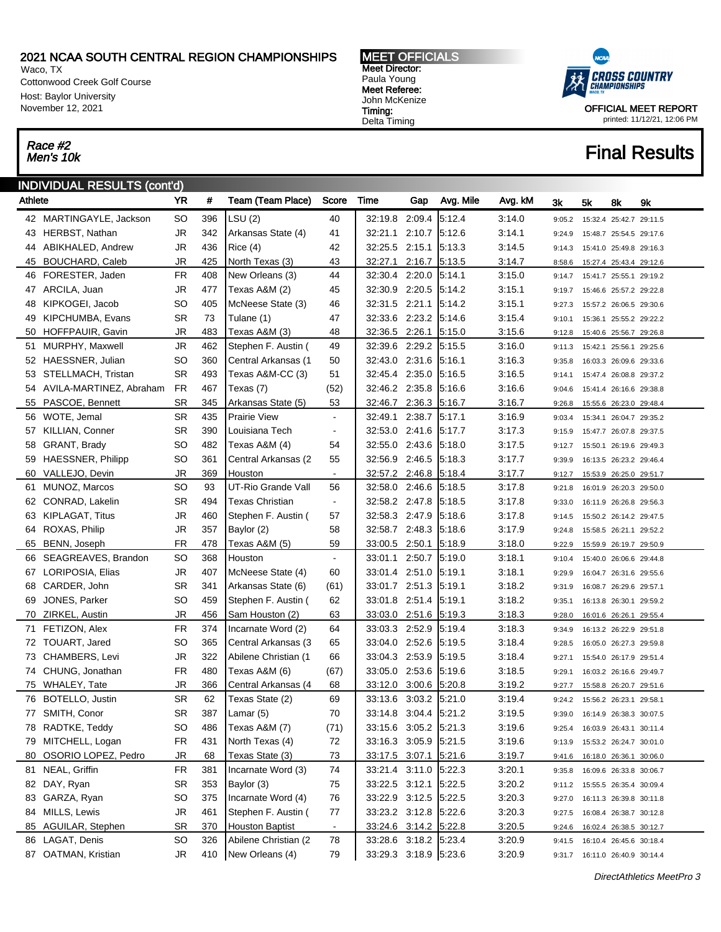Waco, TX Cottonwood Creek Golf Course Host: Baylor University November 12, 2021

# Race #2<br>Men's 10k

 $\overline{\phantom{a}}$ 

### INDIVIDUAL RESULTS (cont'd)

| Athlete  |                                 | <b>YR</b>       | #         | Team (Team Place)                      | Score          | Time                             | Gap    | Avg. Mile        | Avg. kM          | 3k               | 5k                                                           | 8k                      | 9k                      |
|----------|---------------------------------|-----------------|-----------|----------------------------------------|----------------|----------------------------------|--------|------------------|------------------|------------------|--------------------------------------------------------------|-------------------------|-------------------------|
|          | 42 MARTINGAYLE, Jackson         | <b>SO</b>       | 396       | LSU (2)                                | 40             | 32:19.8 2:09.4                   |        | 5:12.4           | 3:14.0           | 9:05.2           |                                                              |                         | 15:32.4 25:42.7 29:11.5 |
| 43       | HERBST, Nathan                  | <b>JR</b>       | 342       | Arkansas State (4)                     | 41             | 32:21.1 2:10.7                   |        | 5:12.6           | 3:14.1           | 9:24.9           |                                                              | 15:48.7 25:54.5 29:17.6 |                         |
| 44       | ABIKHALED, Andrew               | <b>JR</b>       | 436       | Rice(4)                                | 42             | 32:25.5 2:15.1                   |        | 5:13.3           | 3:14.5           | 9:14.3           |                                                              | 15:41.0 25:49.8 29:16.3 |                         |
| 45       | <b>BOUCHARD, Caleb</b>          | JR              | 425       | North Texas (3)                        | 43             | 32:27.1                          | 2:16.7 | 5:13.5           | 3:14.7           | 8:58.6           |                                                              |                         | 15:27.4 25:43.4 29:12.6 |
| 46       | FORESTER, Jaden                 | FR              | 408       | New Orleans (3)                        | 44             | 32:30.4 2:20.0                   |        | 5.14.1           | 3:15.0           | 9:14.7           |                                                              |                         | 15:41.7 25:55.1 29:19.2 |
| 47       | ARCILA, Juan                    | <b>JR</b>       | 477       | Texas A&M (2)                          | 45             | 32:30.9 2:20.5                   |        | 5:14.2           | 3:15.1           | 9:19.7           |                                                              | 15:46.6 25:57.2 29:22.8 |                         |
| 48       | KIPKOGEI, Jacob                 | SO              | 405       | McNeese State (3)                      | 46             | 32:31.5 2:21.1                   |        | 5:14.2           | 3:15.1           | 9:27.3           |                                                              | 15:57.2 26:06.5 29:30.6 |                         |
| 49       | KIPCHUMBA, Evans                | <b>SR</b>       | 73        | Tulane (1)                             | 47             | 32:33.6 2:23.2                   |        | 5:14.6           | 3:15.4           | 9:10.1           |                                                              |                         | 15:36.1 25:55.2 29:22.2 |
| 50       | HOFFPAUIR, Gavin                | JR              | 483       | Texas A&M (3)                          | 48             | 32:36.5 2:26.1                   |        | 5:15.0           | 3:15.6           | 9:12.8           |                                                              |                         | 15:40.6 25:56.7 29:26.8 |
| 51       | MURPHY, Maxwell                 | <b>JR</b>       | 462       | Stephen F. Austin (                    | 49             | 32:39.6 2:29.2                   |        | 5:15.5           | 3:16.0           | 9:11.3           |                                                              | 15:42.1 25:56.1 29:25.6 |                         |
|          | 52 HAESSNER, Julian             | <b>SO</b>       | 360       | Central Arkansas (1                    | 50             | 32:43.0 2:31.6                   |        | 5:16.1           | 3:16.3           | 9:35.8           |                                                              | 16:03.3 26:09.6 29:33.6 |                         |
| 53       | STELLMACH, Tristan              | SR              | 493       | Texas A&M-CC (3)                       | 51             | 32:45.4 2:35.0                   |        | 5:16.5           | 3:16.5           | 9:14.1           |                                                              |                         | 15:47.4 26:08.8 29:37.2 |
| 54       | AVILA-MARTINEZ, Abraham         | <b>FR</b>       | 467       | Texas (7)                              | (52)           | 32:46.2 2:35.8                   |        | 5:16.6           | 3:16.6           | 9:04.6           |                                                              | 15:41.4 26:16.6 29:38.8 |                         |
| 55       | PASCOE, Bennett                 | SR              | 345       | Arkansas State (5)                     | 53             | 32:46.7                          | 2:36.3 | 5:16.7           | 3:16.7           | 9:26.8           |                                                              | 15:55.6 26:23.0 29:48.4 |                         |
| 56       | WOTE, Jemal                     | <b>SR</b>       | 435       | Prairie View                           | $\blacksquare$ | 32:49.1                          | 2:38.7 | 5:17.1           | 3:16.9           | 9:03.4           |                                                              |                         | 15:34.1 26:04.7 29:35.2 |
| 57       | KILLIAN, Conner                 | SR              | 390       | Louisiana Tech                         | $\blacksquare$ | 32:53.0 2:41.6                   |        | 5:17.7           | 3:17.3           | 9:15.9           |                                                              | 15:47.7 26:07.8 29:37.5 |                         |
| 58       | GRANT, Brady                    | SO              | 482       | Texas A&M (4)                          | 54             | 32:55.0 2:43.6                   |        | 5:18.0           | 3:17.5           | 9:12.7           |                                                              | 15:50.1 26:19.6 29:49.3 |                         |
| 59       | HAESSNER, Philipp               | <b>SO</b>       | 361       | Central Arkansas (2                    | 55             | 32:56.9 2:46.5                   |        | 5:18.3           | 3:17.7           | 9:39.9           |                                                              | 16:13.5 26:23.2 29:46.4 |                         |
| 60       | VALLEJO, Devin                  | JR              | 369       | Houston                                | $\blacksquare$ | 32:57.2 2:46.8                   |        | 5:18.4           | 3:17.7           | 9:12.7           |                                                              | 15:53.9 26:25.0 29:51.7 |                         |
| 61       | MUNOZ, Marcos                   | <b>SO</b>       | 93        | UT-Rio Grande Vall                     | 56             | 32:58.0 2:46.6                   |        | 5:18.5           | 3:17.8           | 9:21.8           |                                                              | 16:01.9 26:20.3 29:50.0 |                         |
| 62       | CONRAD, Lakelin                 | <b>SR</b>       | 494       | <b>Texas Christian</b>                 | $\blacksquare$ | 32:58.2 2:47.8                   |        | 5:18.5           | 3:17.8           | 9:33.0           |                                                              |                         | 16:11.9 26:26.8 29:56.3 |
| 63       | <b>KIPLAGAT, Titus</b>          | <b>JR</b>       | 460       | Stephen F. Austin (                    | 57             | 32:58.3 2:47.9                   |        | 5:18.6           | 3:17.8           | 9:14.5           |                                                              | 15:50.2 26:14.2 29:47.5 |                         |
| 64       | ROXAS, Philip                   | <b>JR</b>       | 357       | Baylor (2)                             | 58             | 32:58.7 2:48.3                   |        | 5:18.6           | 3:17.9           | 9:24.8           |                                                              |                         | 15:58.5 26:21.1 29:52.2 |
| 65       | BENN, Joseph                    | FR              | 478       | Texas A&M (5)                          | 59             | 33:00.5 2:50.1                   |        | 5:18.9           | 3:18.0           | 9:22.9           |                                                              |                         | 15:59.9 26:19.7 29:50.9 |
| 66       | SEAGREAVES, Brandon             | <b>SO</b>       | 368       | Houston                                | $\blacksquare$ | 33:01.1 2:50.7                   |        | 5:19.0           | 3:18.1           | 9:10.4           |                                                              | 15:40.0 26:06.6 29:44.8 |                         |
| 67       | LORIPOSIA, Elias                | <b>JR</b>       | 407       | McNeese State (4)                      | 60             | 33:01.4 2:51.0                   |        | 5:19.1           | 3:18.1           | 9:29.9           |                                                              | 16:04.7 26:31.6 29:55.6 |                         |
| 68       | CARDER, John                    | <b>SR</b>       | 341       | Arkansas State (6)                     | (61)           | 33:01.7 2:51.3                   |        | 5:19.1           | 3:18.2           | 9:31.9           |                                                              | 16:08.7 26:29.6 29:57.1 |                         |
| 69       | JONES, Parker                   | SO              | 459       | Stephen F. Austin (                    | 62             | 33:01.8 2:51.4                   |        | 5:19.1           | 3:18.2           | 9:35.1           |                                                              |                         | 16:13.8 26:30.1 29:59.2 |
| 70       | ZIRKEL, Austin                  | JR              | 456       | Sam Houston (2)                        | 63             | 33:03.0 2:51.6                   |        | 5:19.3           | 3:18.3           | 9:28.0           |                                                              | 16:01.6 26:26.1 29:55.4 |                         |
| 71       | FETIZON, Alex                   | FR              | 374       | Incarnate Word (2)                     | 64             | 33:03.3 2:52.9                   |        | 5:19.4           | 3:18.3           | 9:34.9           |                                                              | 16:13.2 26:22.9 29:51.8 |                         |
|          | 72 TOUART, Jared                | SO              | 365       | Central Arkansas (3                    | 65             | 33:04.0 2:52.6                   |        | 5:19.5           | 3:18.4           | 9:28.5           |                                                              |                         | 16:05.0 26:27.3 29:59.8 |
| 73       | CHAMBERS, Levi                  | <b>JR</b>       | 322       | Abilene Christian (1                   | 66             | 33:04.3 2:53.9                   |        | 5:19.5           | 3:18.4           | 9:27.1           |                                                              | 15:54.0 26:17.9 29:51.4 |                         |
| 74       | CHUNG, Jonathan                 | FR              | 480       | Texas A&M (6)                          | (67)           | 33:05.0 2:53.6                   |        | 5:19.6           | 3:18.5           | 9:29.1           |                                                              | 16:03.2 26:16.6 29:49.7 |                         |
| 75<br>76 | WHALEY, Tate<br>BOTELLO, Justin | JR<br><b>SR</b> | 366<br>62 | Central Arkansas (4<br>Texas State (2) | 68<br>69       | 33:12.0 3:00.6<br>33:13.6 3:03.2 |        | 5:20.8<br>5:21.0 | 3:19.2<br>3:19.4 | 9:27.7           |                                                              |                         | 15:58.8 26:20.7 29:51.6 |
|          | 77 SMITH, Conor                 | <b>SR</b>       | 387       | Lamar (5)                              | 70             | 33:14.8 3:04.4                   |        | 5:21.2           | 3:19.5           | 9:24.2<br>9:39.0 |                                                              | 15:56.2 26:23.1 29:58.1 |                         |
|          | 78 RADTKE, Teddy                | SO              | 486       | Texas A&M (7)                          | (71)           | 33:15.6 3:05.2 5:21.3            |        |                  | 3:19.6           |                  | 16:14.9 26:38.3 30:07.5<br>9:25.4  16:03.9  26:43.1  30:11.4 |                         |                         |
|          | 79 MITCHELL, Logan              | <b>FR</b>       | 431       | North Texas (4)                        | 72             | 33:16.3 3:05.9                   |        | 5:21.5           | 3:19.6           | 9:13.9           |                                                              |                         | 15:53.2 26:24.7 30:01.0 |
| 80       | OSORIO LOPEZ, Pedro             | <b>JR</b>       | 68        | Texas State (3)                        | 73             | 33:17.5 3:07.1                   |        | 5:21.6           | 3:19.7           | 9:41.6           | 16:18.0 26:36.1 30:06.0                                      |                         |                         |
| 81       | NEAL, Griffin                   | <b>FR</b>       | 381       | Incarnate Word (3)                     | 74             | 33:21.4 3:11.0                   |        | 5:22.3           | 3:20.1           | 9:35.8           |                                                              |                         | 16:09.6 26:33.8 30:06.7 |
|          | 82 DAY, Ryan                    | <b>SR</b>       | 353       | Baylor (3)                             | 75             | 33:22.5 3:12.1                   |        | 5:22.5           | 3:20.2           |                  | 9:11.2  15:55.5  26:35.4  30:09.4                            |                         |                         |
| 83       | GARZA, Ryan                     | SO              | 375       | Incarnate Word (4)                     | 76             | 33:22.9 3:12.5                   |        | 5:22.5           | 3:20.3           | 9:27.0           |                                                              |                         | 16:11.3 26:39.8 30:11.8 |
|          | 84 MILLS, Lewis                 | <b>JR</b>       | 461       | Stephen F. Austin (                    | 77             | 33:23.2 3:12.8                   |        | 5:22.6           | 3:20.3           | 9:27.5           |                                                              |                         | 16:08.4 26:38.7 30:12.8 |
| 85       | AGUILAR, Stephen                | SR              | 370       | <b>Houston Baptist</b>                 | $\sim$         | 33:24.6 3:14.2 5:22.8            |        |                  | 3:20.5           | 9:24.6           |                                                              |                         | 16:02.4 26:38.5 30:12.7 |
|          | 86 LAGAT, Denis                 | <b>SO</b>       | 326       | Abilene Christian (2)                  | 78             | 33:28.6 3:18.2 5:23.4            |        |                  | 3:20.9           | 9:41.5           | 16:10.4 26:45.6 30:18.4                                      |                         |                         |
|          | 87 OATMAN, Kristian             | <b>JR</b>       | 410       | New Orleans (4)                        | 79             | 33:29.3 3:18.9 5:23.6            |        |                  | 3:20.9           |                  | 9:31.7 16:11.0 26:40.9 30:14.4                               |                         |                         |
|          |                                 |                 |           |                                        |                |                                  |        |                  |                  |                  |                                                              |                         |                         |

MEET OFFICIALS Meet Director: Paula Young Meet Referee: John McKenize Timing: Delta Timing



OFFICIAL MEET REPORT printed: 11/12/21, 12:06 PM

### **Final Results**

DirectAthletics MeetPro 3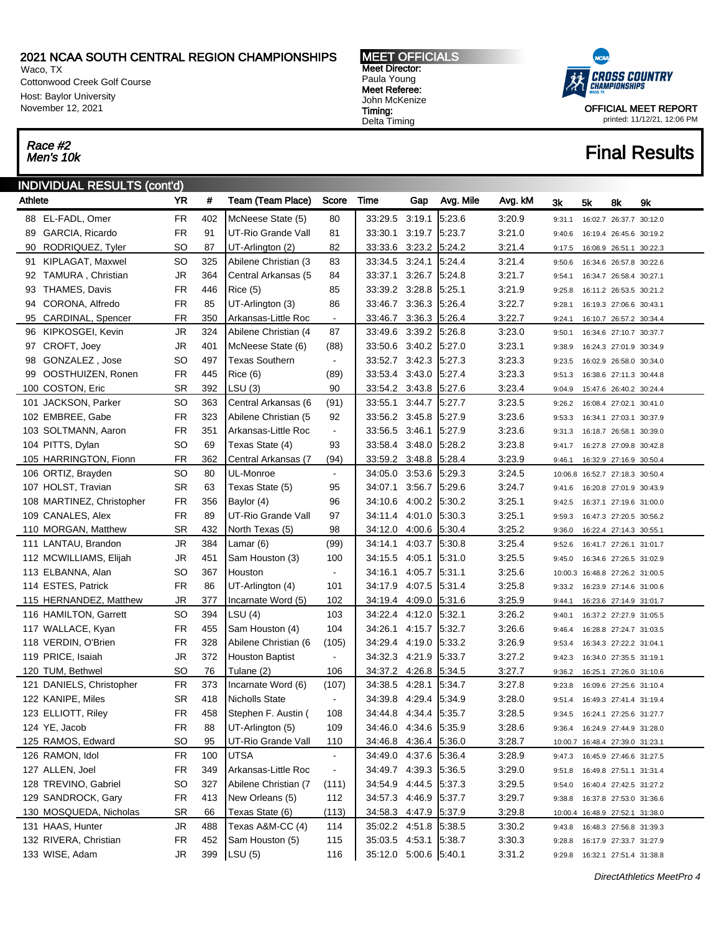Waco, TX Cottonwood Creek Golf Course Host: Baylor University November 12, 2021

# Race #2<br>Men's 10k

í.

### INDIVIDUAL RESULTS (cont'd)

| Athlete |                           | <b>YR</b> | #   | Team (Team Place)      | Score          | Time                  | Gap    | Avg. Mile | Avg. kM | 3k     | 5k                                | 8k                      | 9k |
|---------|---------------------------|-----------|-----|------------------------|----------------|-----------------------|--------|-----------|---------|--------|-----------------------------------|-------------------------|----|
|         | 88 EL-FADL, Omer          | <b>FR</b> | 402 | McNeese State (5)      | 80             | 33:29.5               | 3:19.1 | 5:23.6    | 3:20.9  | 9:31.1 |                                   | 16:02.7 26:37.7 30:12.0 |    |
| 89      | GARCIA, Ricardo           | <b>FR</b> | 91  | UT-Rio Grande Vall     | 81             | 33:30.1               | 3:19.7 | 5:23.7    | 3:21.0  | 9:40.6 |                                   | 16:19.4 26:45.6 30:19.2 |    |
| 90      | RODRIQUEZ, Tyler          | SO        | 87  | UT-Arlington (2)       | 82             | 33:33.6               | 3:23.2 | 5:24.2    | 3:21.4  | 9:17.5 |                                   | 16:08.9 26:51.1 30:22.3 |    |
| 91      | KIPLAGAT, Maxwel          | SO        | 325 | Abilene Christian (3   | 83             | 33:34.5               | 3.24.1 | 5:24.4    | 3:21.4  | 9:50.6 |                                   | 16:34.6 26:57.8 30:22.6 |    |
|         | 92 TAMURA, Christian      | JR        | 364 | Central Arkansas (5    | 84             | 33:37.1 3:26.7        |        | 5:24.8    | 3:21.7  | 9:54.1 |                                   | 16:34.7 26:58.4 30:27.1 |    |
| 93      | THAMES, Davis             | FR        | 446 | Rice(5)                | 85             | 33:39.2 3:28.8        |        | 5:25.1    | 3:21.9  | 9:25.8 |                                   | 16:11.2 26:53.5 30:21.2 |    |
| 94      | CORONA, Alfredo           | FR        | 85  | UT-Arlington (3)       | 86             | 33:46.7 3:36.3        |        | 5:26.4    | 3:22.7  | 9:28.1 |                                   | 16:19.3 27:06.6 30:43.1 |    |
| 95      | CARDINAL, Spencer         | <b>FR</b> | 350 | Arkansas-Little Roc    | $\blacksquare$ | 33:46.7               | 3:36.3 | 5:26.4    | 3:22.7  | 9:24.1 |                                   | 16:10.7 26:57.2 30:34.4 |    |
|         | 96 KIPKOSGEI, Kevin       | JR        | 324 | Abilene Christian (4   | 87             | 33:49.6 3:39.2        |        | 5:26.8    | 3:23.0  | 9:50.1 |                                   | 16:34.6 27:10.7 30:37.7 |    |
| 97      | CROFT, Joey               | JR        | 401 | McNeese State (6)      | (88)           | 33:50.6 3:40.2 5:27.0 |        |           | 3:23.1  | 9:38.9 |                                   | 16:24.3 27:01.9 30:34.9 |    |
| 98      | GONZALEZ, Jose            | SO        | 497 | <b>Texas Southern</b>  | $\blacksquare$ | 33:52.7 3:42.3        |        | 5:27.3    | 3:23.3  | 9:23.5 |                                   | 16:02.9 26:58.0 30:34.0 |    |
| 99      | OOSTHUIZEN, Ronen         | FR        | 445 | Rice (6)               | (89)           | 33:53.4 3:43.0        |        | 5:27.4    | 3:23.3  | 9:51.3 |                                   | 16:38.6 27:11.3 30:44.8 |    |
|         | 100 COSTON, Eric          | SR        | 392 | LSU (3)                | 90             | 33:54.2 3:43.8        |        | 5:27.6    | 3:23.4  | 9:04.9 |                                   | 15:47.6 26:40.2 30:24.4 |    |
|         | 101 JACKSON, Parker       | SO        | 363 | Central Arkansas (6    | (91)           | 33:55.1               | 3:44.7 | 5:27.7    | 3:23.5  | 9:26.2 |                                   | 16:08.4 27:02.1 30:41.0 |    |
|         | 102 EMBREE, Gabe          | <b>FR</b> | 323 | Abilene Christian (5   | 92             | 33:56.2 3:45.8        |        | 5:27.9    | 3:23.6  | 9:53.3 |                                   | 16:34.1 27:03.1 30:37.9 |    |
|         | 103 SOLTMANN, Aaron       | <b>FR</b> | 351 | Arkansas-Little Roc    | $\blacksquare$ | 33:56.5 3:46.1        |        | 5:27.9    | 3:23.6  | 9:31.3 |                                   | 16:18.7 26:58.1 30:39.0 |    |
|         | 104 PITTS, Dylan          | SO        | 69  | Texas State (4)        | 93             | 33:58.4 3:48.0        |        | 5.28.2    | 3:23.8  | 9:41.7 |                                   | 16:27.8 27:09.8 30:42.8 |    |
|         | 105 HARRINGTON, Fionn     | FR        | 362 | Central Arkansas (7    | (94)           | 33:59.2               | 3.48.8 | 5:28.4    | 3:23.9  | 9:46.1 |                                   | 16:32.9 27:16.9 30:50.4 |    |
|         | 106 ORTIZ, Brayden        | <b>SO</b> | 80  | UL-Monroe              | $\blacksquare$ | 34:05.0               | 3:53.6 | 5:29.3    | 3:24.5  |        | 10:06.8 16:52.7 27:18.3 30:50.4   |                         |    |
|         | 107 HOLST, Travian        | SR        | 63  | Texas State (5)        | 95             | 34:07.1 3:56.7        |        | 5:29.6    | 3:24.7  | 9:41.6 |                                   | 16:20.8 27:01.9 30:43.9 |    |
|         | 108 MARTINEZ, Christopher | FR        | 356 | Baylor (4)             | 96             | 34:10.6 4:00.2        |        | 5:30.2    | 3:25.1  | 9:42.5 |                                   | 16:37.1 27:19.6 31:00.0 |    |
|         | 109 CANALES, Alex         | <b>FR</b> | 89  | UT-Rio Grande Vall     | 97             | 34:11.4 4:01.0        |        | 5:30.3    | 3:25.1  | 9:59.3 |                                   | 16:47.3 27:20.5 30:56.2 |    |
|         | 110 MORGAN, Matthew       | SR        | 432 | North Texas (5)        | 98             | 34:12.0 4:00.6        |        | 5:30.4    | 3:25.2  | 9:36.0 |                                   | 16:22.4 27:14.3 30:55.1 |    |
|         | 111 LANTAU, Brandon       | JR        | 384 | Lamar (6)              | (99)           | 34:14.1               | 4.03.7 | 5:30.8    | 3:25.4  | 9:52.6 |                                   | 16:41.7 27:26.1 31:01.7 |    |
|         | 112 MCWILLIAMS, Elijah    | JR        | 451 | Sam Houston (3)        | 100            | 34:15.5 4:05.1        |        | 5:31.0    | 3:25.5  | 9:45.0 |                                   | 16:34.6 27:26.5 31:02.9 |    |
|         | 113 ELBANNA, Alan         | SO        | 367 | Houston                | $\blacksquare$ | 34:16.1               | 4.05.7 | 5:31.1    | 3:25.6  |        | 10:00.3 16:48.8 27:26.2 31:00.5   |                         |    |
|         | 114 ESTES, Patrick        | FR        | 86  | UT-Arlington (4)       | 101            | 34:17.9 4:07.5        |        | 5:31.4    | 3:25.8  | 9:33.2 |                                   | 16:23.9 27:14.6 31:00.6 |    |
|         | 115 HERNANDEZ, Matthew    | JR        | 377 | Incarnate Word (5)     | 102            | 34:19.4 4:09.0        |        | 5:31.6    | 3:25.9  | 9:44.1 |                                   | 16:23.6 27:14.9 31:01.7 |    |
|         | 116 HAMILTON, Garrett     | SO        | 394 | LSU(4)                 | 103            | 34:22.4               | 4:12.0 | 5.32.1    | 3:26.2  | 9:40.1 |                                   | 16:37.2 27:27.9 31:05.5 |    |
|         | 117 WALLACE, Kyan         | FR        | 455 | Sam Houston (4)        | 104            | 34:26.1 4:15.7        |        | 5:32.7    | 3:26.6  | 9:46.4 |                                   | 16:28.8 27:24.7 31:03.5 |    |
|         | 118 VERDIN, O'Brien       | FR        | 328 | Abilene Christian (6   | (105)          | 34:29.4 4:19.0        |        | 5:33.2    | 3:26.9  | 9:53.4 |                                   | 16:34.3 27:22.2 31:04.1 |    |
|         | 119 PRICE, Isaiah         | JR        | 372 | <b>Houston Baptist</b> | $\blacksquare$ | 34:32.3 4:21.9        |        | 5:33.7    | 3:27.2  | 9:42.3 |                                   | 16:34.0 27:35.5 31:19.1 |    |
|         | 120 TUM, Bethwel          | <b>SO</b> | 76  | Tulane (2)             | 106            | 34:37.2 4:26.8        |        | 5:34.5    | 3:27.7  | 9:36.2 |                                   | 16:25.1 27:26.0 31:10.6 |    |
|         | 121 DANIELS, Christopher  | <b>FR</b> | 373 | Incarnate Word (6)     | (107)          | 34:38.5 4:28.1        |        | 5:34.7    | 3:27.8  | 9:23.8 |                                   | 16:09.6 27:25.6 31:10.4 |    |
|         | 122 KANIPE, Miles         | SR        | 418 | <b>Nicholls State</b>  | $\blacksquare$ | 34:39.8 4:29.4 5:34.9 |        |           | 3:28.0  | 9:51.4 |                                   | 16:49.3 27:41.4 31:19.4 |    |
|         | 123 ELLIOTT, Riley        | FR        | 458 | Stephen F. Austin (    | 108            | 34:44.8 4:34.4 5:35.7 |        |           | 3:28.5  | 9:34.5 | 16:24.1 27:25.6 31:27.7           |                         |    |
|         | 124 YE, Jacob             | <b>FR</b> | 88  | UT-Arlington (5)       | 109            | 34:46.0 4:34.6 5:35.9 |        |           | 3:28.6  |        | 9:36.4  16:24.9  27:44.9  31:28.0 |                         |    |
|         | 125 RAMOS, Edward         | <b>SO</b> | 95  | UT-Rio Grande Vall     | 110            | 34:46.8 4:36.4 5:36.0 |        |           | 3:28.7  |        | 10:00.7 16:48.4 27:39.0 31:23.1   |                         |    |
|         | 126 RAMON, Idol           | <b>FR</b> | 100 | <b>UTSA</b>            | $\blacksquare$ | 34:49.0 4:37.6        |        | 5:36.4    | 3:28.9  |        | 9:47.3  16:45.9  27:46.6  31:27.5 |                         |    |
|         | 127 ALLEN, Joel           | FR        | 349 | Arkansas-Little Roc    | $\blacksquare$ | 34:49.7 4:39.3 5:36.5 |        |           | 3:29.0  | 9:51.8 |                                   | 16:49.8 27:51.1 31:31.4 |    |
|         | 128 TREVINO, Gabriel      | <b>SO</b> | 327 | Abilene Christian (7   | (111)          | 34:54.9 4:44.5        |        | 5:37.3    | 3:29.5  | 9:54.0 |                                   | 16:40.4 27:42.5 31:27.2 |    |
|         | 129 SANDROCK, Gary        | FR        | 413 | New Orleans (5)        | 112            | 34:57.3 4:46.9        |        | 5:37.7    | 3:29.7  | 9:38.8 |                                   | 16:37.8 27:53.0 31:36.6 |    |
|         | 130 MOSQUEDA, Nicholas    | SR        | 66  | Texas State (6)        | (113)          | 34:58.3 4:47.9 5:37.9 |        |           | 3:29.8  |        | 10:00.4 16:48.9 27:52.1 31:38.0   |                         |    |
|         | 131 HAAS, Hunter          | JR.       | 488 | Texas A&M-CC (4)       | 114            | 35:02.2 4:51.8        |        | 5:38.5    | 3:30.2  | 9:43.8 |                                   | 16:48.3 27:56.8 31:39.3 |    |
|         | 132 RIVERA, Christian     | <b>FR</b> | 452 | Sam Houston (5)        | 115            | 35:03.5 4:53.1 5:38.7 |        |           | 3:30.3  | 9:28.8 |                                   | 16:17.9 27:33.7 31:27.9 |    |
|         | 133 WISE, Adam            | JR.       | 399 | LSU(5)                 | 116            | 35:12.0 5:00.6 5:40.1 |        |           | 3:31.2  |        | 9:29.8  16:32.1  27:51.4  31:38.8 |                         |    |

MEET OFFICIALS Meet Director: Paula Young Meet Referee: John McKenize Timing: Delta Timing



OFFICIAL MEET REPORT printed: 11/12/21, 12:06 PM

## **Final Results**

DirectAthletics MeetPro 4